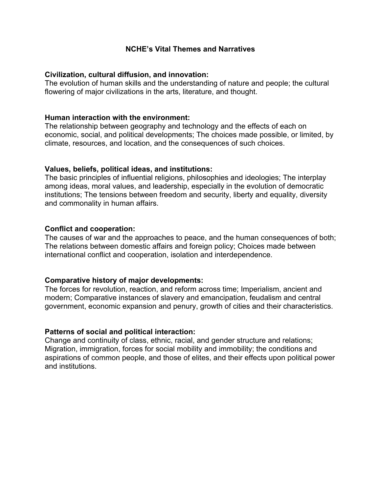## **NCHE's Vital Themes and Narratives**

#### **Civilization, cultural diffusion, and innovation:**

The evolution of human skills and the understanding of nature and people; the cultural flowering of major civilizations in the arts, literature, and thought.

#### **Human interaction with the environment:**

The relationship between geography and technology and the effects of each on economic, social, and political developments; The choices made possible, or limited, by climate, resources, and location, and the consequences of such choices.

#### **Values, beliefs, political ideas, and institutions:**

The basic principles of influential religions, philosophies and ideologies; The interplay among ideas, moral values, and leadership, especially in the evolution of democratic institutions; The tensions between freedom and security, liberty and equality, diversity and commonality in human affairs.

#### **Conflict and cooperation:**

The causes of war and the approaches to peace, and the human consequences of both; The relations between domestic affairs and foreign policy; Choices made between international conflict and cooperation, isolation and interdependence.

## **Comparative history of major developments:**

The forces for revolution, reaction, and reform across time; Imperialism, ancient and modern; Comparative instances of slavery and emancipation, feudalism and central government, economic expansion and penury, growth of cities and their characteristics.

## **Patterns of social and political interaction:**

Change and continuity of class, ethnic, racial, and gender structure and relations; Migration, immigration, forces for social mobility and immobility; the conditions and aspirations of common people, and those of elites, and their effects upon political power and institutions.